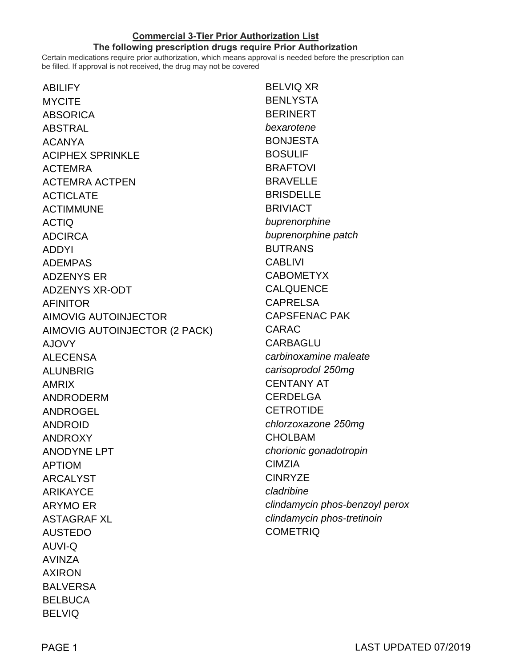## **Commercial 3-Tier Prior Authorization List**

## **The following prescription drugs require Prior Authorization**

Certain medications require prior authorization, which means approval is needed before the prescription can be filled. If approval is not received, the drug may not be covered

| <b>ABILIFY</b>                | <b>BELVIQ XR</b>               |
|-------------------------------|--------------------------------|
| <b>MYCITE</b>                 | <b>BENLYSTA</b>                |
| <b>ABSORICA</b>               | <b>BERINERT</b>                |
| <b>ABSTRAL</b>                | bexarotene                     |
| <b>ACANYA</b>                 | <b>BONJESTA</b>                |
| <b>ACIPHEX SPRINKLE</b>       | <b>BOSULIF</b>                 |
| <b>ACTEMRA</b>                | <b>BRAFTOVI</b>                |
| <b>ACTEMRA ACTPEN</b>         | <b>BRAVELLE</b>                |
| <b>ACTICLATE</b>              | <b>BRISDELLE</b>               |
| <b>ACTIMMUNE</b>              | <b>BRIVIACT</b>                |
| <b>ACTIQ</b>                  | buprenorphine                  |
| <b>ADCIRCA</b>                | buprenorphine patch            |
| <b>ADDYI</b>                  | <b>BUTRANS</b>                 |
| <b>ADEMPAS</b>                | <b>CABLIVI</b>                 |
| <b>ADZENYS ER</b>             | <b>CABOMETYX</b>               |
| <b>ADZENYS XR-ODT</b>         | <b>CALQUENCE</b>               |
| <b>AFINITOR</b>               | <b>CAPRELSA</b>                |
| <b>AIMOVIG AUTOINJECTOR</b>   | <b>CAPSFENAC PAK</b>           |
| AIMOVIG AUTOINJECTOR (2 PACK) | <b>CARAC</b>                   |
| <b>AJOVY</b>                  | <b>CARBAGLU</b>                |
| <b>ALECENSA</b>               | carbinoxamine maleate          |
| <b>ALUNBRIG</b>               | carisoprodol 250mg             |
| <b>AMRIX</b>                  | <b>CENTANY AT</b>              |
| <b>ANDRODERM</b>              | <b>CERDELGA</b>                |
| <b>ANDROGEL</b>               | <b>CETROTIDE</b>               |
| <b>ANDROID</b>                | chlorzoxazone 250mg            |
| <b>ANDROXY</b>                | <b>CHOLBAM</b>                 |
| <b>ANODYNE LPT</b>            | chorionic gonadotropin         |
| <b>APTIOM</b>                 | <b>CIMZIA</b>                  |
| <b>ARCALYST</b>               | <b>CINRYZE</b>                 |
| <b>ARIKAYCE</b>               | cladribine                     |
| <b>ARYMO ER</b>               | clindamycin phos-benzoyl perox |
| <b>ASTAGRAF XL</b>            | clindamycin phos-tretinoin     |
| <b>AUSTEDO</b>                | <b>COMETRIQ</b>                |
| <b>AUVI-Q</b>                 |                                |
| <b>AVINZA</b>                 |                                |
| <b>AXIRON</b>                 |                                |
| <b>BALVERSA</b>               |                                |
| <b>BELBUCA</b>                |                                |
| <b>BELVIQ</b>                 |                                |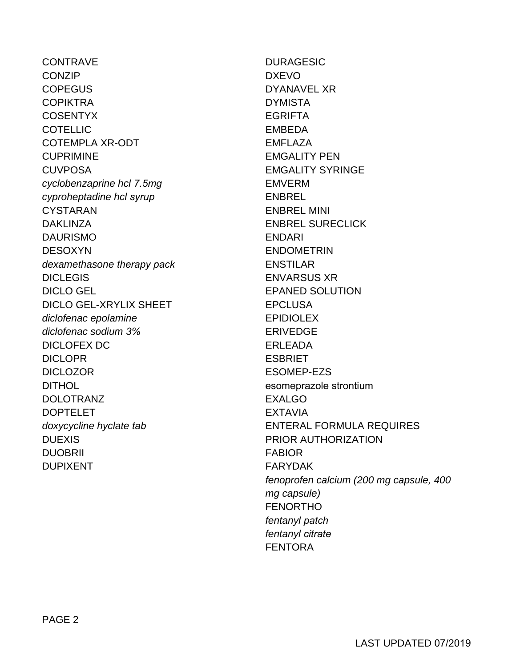CONTRAVE **CONZIP COPEGUS COPIKTRA** COSENTYX **COTELLIC** COTEMPLA XR-ODT CUPRIMINE **CUVPOSA** cyclobenzaprine hcl *7.5mg* cyproheptadine hcl *syrup* CYSTARAN DAKLINZA DAURISMO DESOXYN dexamethasone *therapy pack* **DICLEGIS** DICLO GEL DICLO GEL-XRYLIX SHEET diclofenac epolamine diclofenac sodium *3%* DICLOFEX DC DICLOPR DICLOZOR DITHOL DOLOTRANZ DOPTELET doxycycline hyclate *tab* DUEXIS DUOBRII DUPIXENT

DURAGESIC DXEVO DYANAVEL XR DYMISTA EGRIFTA EMBEDA EMFLAZA EMGALITY PEN EMGALITY SYRINGE EMVERM **ENBREL** ENBREL MINI ENBREL SURECLICK ENDARI ENDOMETRIN ENSTILAR ENVARSUS XR EPANED SOLUTION **EPCLUSA** EPIDIOLEX ERIVEDGE ERLEADA **ESBRIET** ESOMEP-EZS esomeprazole strontium EXALGO EXTAVIA ENTERAL FORMULA REQUIRES PRIOR AUTHORIZATION FABIOR FARYDAK fenoprofen calcium (200 mg capsule, 400 mg capsule) FENORTHO fentanyl *patch* fentanyl *citrate* FENTORA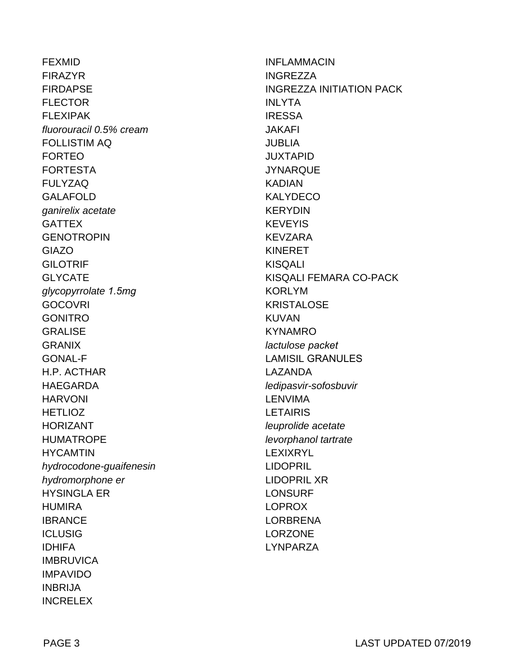**FEXMID FIRAZYR FIRDAPSE FLECTOR FI FXIPAK** fluorouracil 0.5% cream **FOLLISTIM AQ FORTEO FORTESTA FULYZAQ GALAFOLD** ganirelix acetate **GATTEX GENOTROPIN GIAZO GILOTRIF GLYCATE** glycopyrrolate 1.5mg **GOCOVRI GONITRO GRALISE GRANIX GONAL-F** H.P. ACTHAR **HAEGARDA HARVONI HETLIOZ HORIZANT HUMATROPE HYCAMTIN** hydrocodone-guaifenesin hydromorphone er **HYSINGLA ER HUMIRA IBRANCE ICLUSIG IDHIFA IMBRUVICA IMPAVIDO INBRIJA INCRELEX** 

**INFLAMMACIN** INGRF77A **INGREZZA INITIATION PACK INLYTA IRESSA JAKAFI JUBLIA JUXTAPID JYNARQUE KADIAN KALYDECO KERYDIN KEVEYIS KEVZARA KINERET KISQALI** KISQALI FEMARA CO-PACK **KORLYM KRISTALOSE KIJVAN KYNAMRO** lactulose packet **LAMISIL GRANULES LAZANDA** ledipasvir-sofosbuvir **LENVIMA LETAIRIS** leuprolide acetate levorphanol tartrate **LEXIXRYL LIDOPRIL LIDOPRIL XR LONSURF LOPROX I ORBRENA LORZONE LYNPARZA**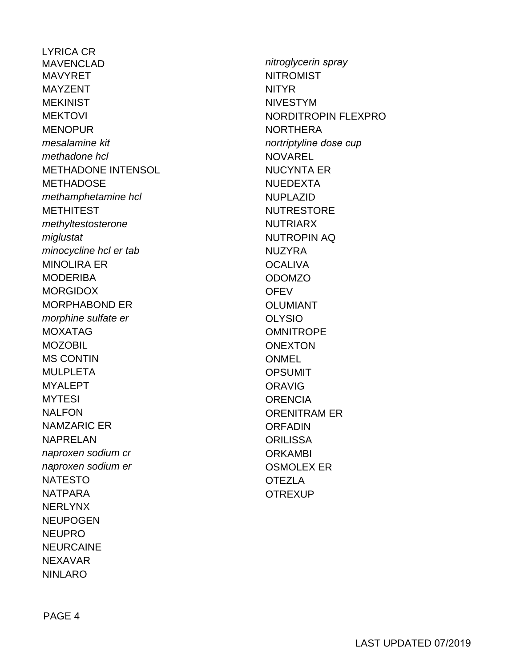**LYRICA CR MAVENCLAD MAVYRFT MAYZENT MEKINIST MEKTOVI MENOPUR** mesalamine kit methadone hcl **METHADONE INTENSOL METHADOSE** methamphetamine hcl **METHITEST** methyltestosterone miglustat minocycline hcl er tab **MINOLIRA ER MODERIBA MORGIDOX MORPHABOND ER** morphine sulfate er **MOXATAG MOZOBIL MS CONTIN MULPLETA MYALEPT MYTESI NALFON NAMZARIC ER NAPRELAN** naproxen sodium cr naproxen sodium er **NATESTO NATPARA NERLYNX NFUPOGEN NEUPRO NEURCAINE NFXAVAR NINLARO** 

nitroglycerin spray **NITROMIST NITYR NIVESTYM** NORDITROPIN FLEXPRO **NORTHERA** nortriptyline dose cup **NOVAREL NUCYNTA ER NUEDEXTA NUPLAZID NUTRESTORE NUTRIARX NUTROPIN AQ NUZYRA OCALIVA ODOMZO OFFV OLUMIANT OLYSIO OMNITROPF ONEXTON ONMEL OPSUMIT ORAVIG** ORFNCIA **ORENITRAM ER ORFADIN ORILISSA ORKAMBI OSMOLEX ER OTEZLA OTREXUP**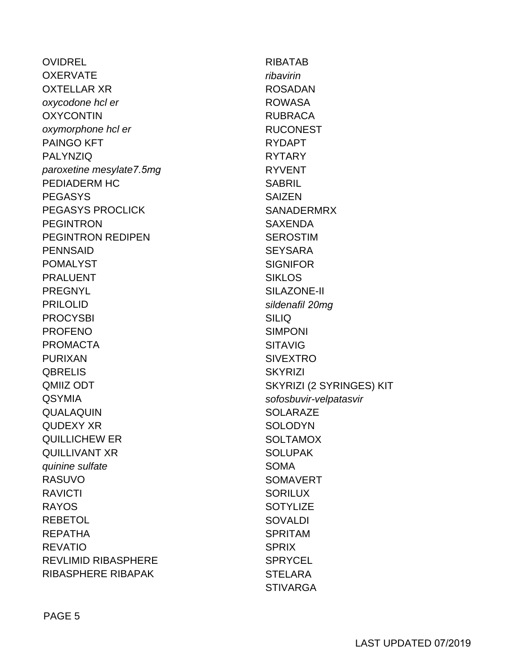**OVIDREL OXERVATE OXTELLAR XR** oxycodone hcl er **OXYCONTIN** oxymorphone hcl er **PAINGO KFT PALYNZIQ** paroxetine mesylate7.5mg PEDIADERM HC **PEGASYS PEGASYS PROCLICK PEGINTRON PEGINTRON REDIPEN PENNSAID POMALYST PRALUENT PREGNYL PRILOLID PROCYSBI PROFFNO PROMACTA PURIXAN QBRELIS** QMIIZ ODT **QSYMIA** QUALAQUIN **QUDEXY XR QUILLICHEW ER QUILLIVANT XR** quinine sulfate **RASUVO RAVICTI RAYOS REBETOL REPATHA REVATIO REVLIMID RIBASPHERE RIBASPHERE RIBAPAK** 

**RIBATAB** ribavirin **ROSADAN ROWASA RUBRACA RUCONEST RYDAPT RYTARY RYVENT SABRIL SAIZEN SANADERMRX SAXENDA SEROSTIM SEYSARA SIGNIFOR SIKLOS** SILAZONE-II sildenafil 20mg **SILIQ SIMPONI SITAVIG SIVEXTRO SKYRIZI** SKYRIZI (2 SYRINGES) KIT sofosbuvir-velpatasvir **SOLARAZE SOLODYN SOLTAMOX SOLUPAK SOMA SOMAVERT SORILUX SOTYLIZE** SOVAL DI **SPRITAM SPRIX SPRYCEL STELARA STIVARGA**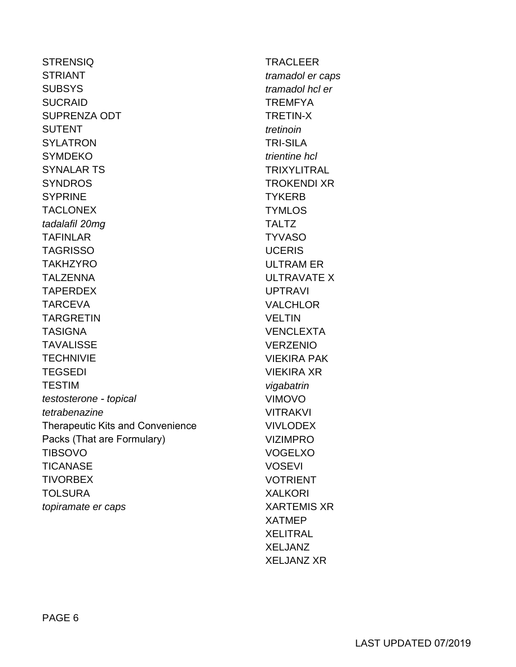**STRENSIQ STRIANT SUBSYS SUCRAID SUPRENZA ODT SUTENT SYLATRON SYMDEKO SYNALAR TS SYNDROS SYPRINE TACLONEX** tadalafil 20mg **TAFINLAR TAGRISSO TAKHZYRO TALZENNA TAPERDEX TARCEVA TARGRETIN TASIGNA TAVALISSE TECHNIVIE TEGSEDI TESTIM** testosterone - topical tetrabenazine Therapeutic Kits and Convenience Packs (That are Formulary) **TIBSOVO TICANASE TIVORBEX TOLSURA** topiramate er caps

**TRACLEER** tramadol er caps tramadol hcl er **TREMFYA TRETIN-X** tretinoin **TRI-SILA** trientine hcl **TRIXYLITRAL TROKENDI XR TYKERB TYMLOS TALTZ TYVASO UCERIS ULTRAM ER ULTRAVATE X UPTRAVI VALCHLOR VFI TIN VENCLEXTA VERZENIO VIFKIRA PAK VIEKIRA XR** vigabatrin **VIMOVO VITRAKVI VIVLODEX VIZIMPRO VOGELXO VOSEVI VOTRIENT XALKORI XARTEMIS XR XATMFP XELITRAL XELJANZ XFI JANZ XR**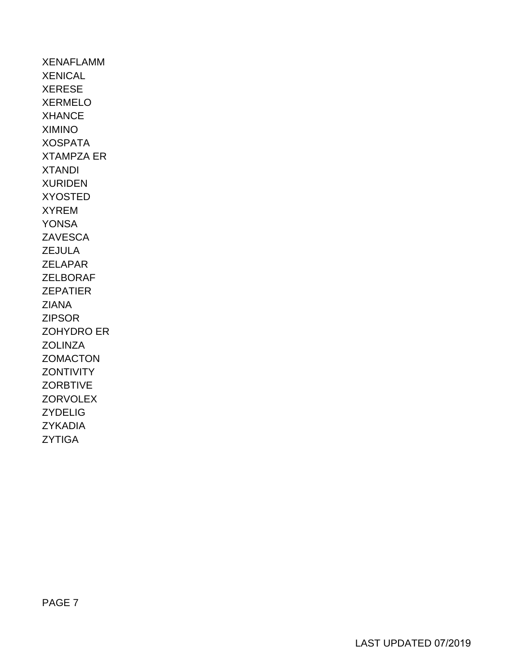XENAFLAMM **XENICAL** XERESE XERMELO XHANCE XIMINO XOSPATA XTAMPZA ER XTANDI XURIDEN XYOSTED XYREM YONSA **ZAVESCA** ZEJULA ZELAPAR ZELBORAF ZEPATIER ZIANA ZIPSOR ZOHYDRO ER **ZOLINZA ZOMACTON ZONTIVITY ZORBTIVE ZORVOLEX** ZYDELIG ZYKADIA ZYTIGA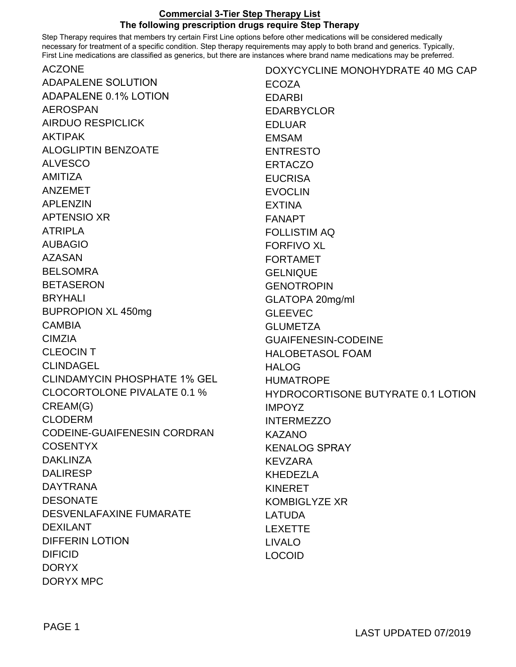## **Commercial 3-Tier Step Therapy List The following prescription drugs require Step Therapy**

ACZONE Step Therapy requires that members try certain First Line options before other medications will be considered medically necessary for treatment of a specific condition. Step therapy requirements may apply to both brand and generics. Typically, First Line medications are classified as generics, but there are instances where brand name medications may be preferred.

| <b>ACZONE</b>                       | DOXYCYCLINE MONOHYDRATE 40 MG CAP         |
|-------------------------------------|-------------------------------------------|
| ADAPALENE SOLUTION                  | <b>ECOZA</b>                              |
| <b>ADAPALENE 0.1% LOTION</b>        | <b>EDARBI</b>                             |
| <b>AEROSPAN</b>                     | <b>EDARBYCLOR</b>                         |
| <b>AIRDUO RESPICLICK</b>            | <b>EDLUAR</b>                             |
| <b>AKTIPAK</b>                      | <b>EMSAM</b>                              |
| <b>ALOGLIPTIN BENZOATE</b>          | <b>ENTRESTO</b>                           |
| <b>ALVESCO</b>                      | <b>ERTACZO</b>                            |
| <b>AMITIZA</b>                      | <b>EUCRISA</b>                            |
| <b>ANZEMET</b>                      | <b>EVOCLIN</b>                            |
| <b>APLENZIN</b>                     | <b>EXTINA</b>                             |
| <b>APTENSIO XR</b>                  | <b>FANAPT</b>                             |
| <b>ATRIPLA</b>                      | <b>FOLLISTIM AQ</b>                       |
| <b>AUBAGIO</b>                      | <b>FORFIVO XL</b>                         |
| <b>AZASAN</b>                       | <b>FORTAMET</b>                           |
| <b>BELSOMRA</b>                     | <b>GELNIQUE</b>                           |
| <b>BETASERON</b>                    | <b>GENOTROPIN</b>                         |
| <b>BRYHALI</b>                      | GLATOPA 20mg/ml                           |
| <b>BUPROPION XL 450mg</b>           | <b>GLEEVEC</b>                            |
| <b>CAMBIA</b>                       | <b>GLUMETZA</b>                           |
| <b>CIMZIA</b>                       | <b>GUAIFENESIN-CODEINE</b>                |
| <b>CLEOCINT</b>                     | <b>HALOBETASOL FOAM</b>                   |
| <b>CLINDAGEL</b>                    | <b>HALOG</b>                              |
| <b>CLINDAMYCIN PHOSPHATE 1% GEL</b> | <b>HUMATROPE</b>                          |
| <b>CLOCORTOLONE PIVALATE 0.1 %</b>  | <b>HYDROCORTISONE BUTYRATE 0.1 LOTION</b> |
| CREAM(G)                            | <b>IMPOYZ</b>                             |
| <b>CLODERM</b>                      | <b>INTERMEZZO</b>                         |
| <b>CODEINE-GUAIFENESIN CORDRAN</b>  | <b>KAZANO</b>                             |
| <b>COSENTYX</b>                     | <b>KENALOG SPRAY</b>                      |
| <b>DAKLINZA</b>                     | <b>KEVZARA</b>                            |
| <b>DALIRESP</b>                     | <b>KHEDEZLA</b>                           |
| <b>DAYTRANA</b>                     | <b>KINERET</b>                            |
| <b>DESONATE</b>                     | <b>KOMBIGLYZE XR</b>                      |
| DESVENLAFAXINE FUMARATE             | <b>LATUDA</b>                             |
| <b>DEXILANT</b>                     | <b>LEXETTE</b>                            |
| <b>DIFFERIN LOTION</b>              | <b>LIVALO</b>                             |
| <b>DIFICID</b>                      | <b>LOCOID</b>                             |
| <b>DORYX</b>                        |                                           |
| <b>DORYX MPC</b>                    |                                           |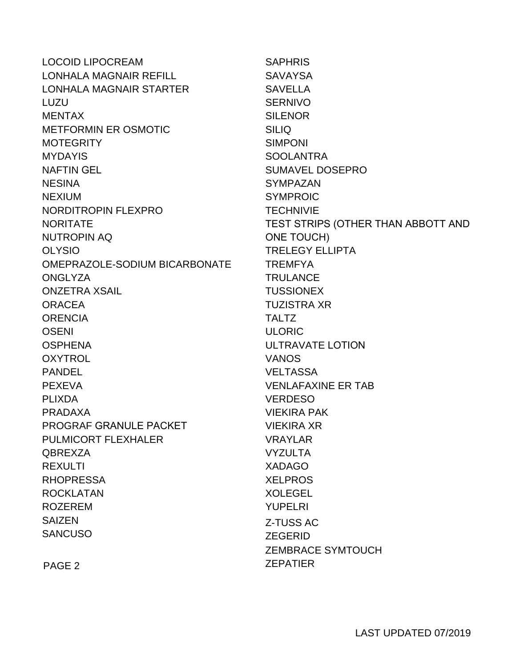| <b>LOCOID LIPOCREAM</b>       | <b>SAPHRIS</b>                     |
|-------------------------------|------------------------------------|
| LONHALA MAGNAIR REFILL        | <b>SAVAYSA</b>                     |
| LONHALA MAGNAIR STARTER       | <b>SAVELLA</b>                     |
| LUZU                          | <b>SERNIVO</b>                     |
| <b>MENTAX</b>                 | <b>SILENOR</b>                     |
| <b>METFORMIN ER OSMOTIC</b>   | <b>SILIQ</b>                       |
| <b>MOTEGRITY</b>              | <b>SIMPONI</b>                     |
| <b>MYDAYIS</b>                | <b>SOOLANTRA</b>                   |
| <b>NAFTIN GEL</b>             | <b>SUMAVEL DOSEPRO</b>             |
| <b>NESINA</b>                 | <b>SYMPAZAN</b>                    |
| <b>NEXIUM</b>                 | <b>SYMPROIC</b>                    |
| NORDITROPIN FLEXPRO           | <b>TECHNIVIE</b>                   |
| <b>NORITATE</b>               | TEST STRIPS (OTHER THAN ABBOTT AND |
| <b>NUTROPIN AQ</b>            | <b>ONE TOUCH)</b>                  |
| <b>OLYSIO</b>                 | <b>TRELEGY ELLIPTA</b>             |
| OMEPRAZOLE-SODIUM BICARBONATE | <b>TREMFYA</b>                     |
| <b>ONGLYZA</b>                | <b>TRULANCE</b>                    |
| <b>ONZETRA XSAIL</b>          | <b>TUSSIONEX</b>                   |
| <b>ORACEA</b>                 | <b>TUZISTRA XR</b>                 |
| <b>ORENCIA</b>                | <b>TALTZ</b>                       |
| <b>OSENI</b>                  | <b>ULORIC</b>                      |
| <b>OSPHENA</b>                | <b>ULTRAVATE LOTION</b>            |
| <b>OXYTROL</b>                | <b>VANOS</b>                       |
| <b>PANDEL</b>                 | <b>VELTASSA</b>                    |
| <b>PEXEVA</b>                 | <b>VENLAFAXINE ER TAB</b>          |
| <b>PLIXDA</b>                 | <b>VERDESO</b>                     |
| <b>PRADAXA</b>                | <b>VIEKIRA PAK</b>                 |
| <b>PROGRAF GRANULE PACKET</b> | <b>VIEKIRA XR</b>                  |
| <b>PULMICORT FLEXHALER</b>    | <b>VRAYLAR</b>                     |
| <b>QBREXZA</b>                | <b>VYZULTA</b>                     |
| <b>REXULTI</b>                | <b>XADAGO</b>                      |
| <b>RHOPRESSA</b>              | <b>XELPROS</b>                     |
| <b>ROCKLATAN</b>              | <b>XOLEGEL</b>                     |
| <b>ROZEREM</b>                | <b>YUPELRI</b>                     |
| <b>SAIZEN</b>                 | <b>Z-TUSS AC</b>                   |
| <b>SANCUSO</b>                | <b>ZEGERID</b>                     |
|                               | <b>ZEMBRACE SYMTOUCH</b>           |
| PAGE <sub>2</sub>             | <b>ZEPATIER</b>                    |
|                               |                                    |